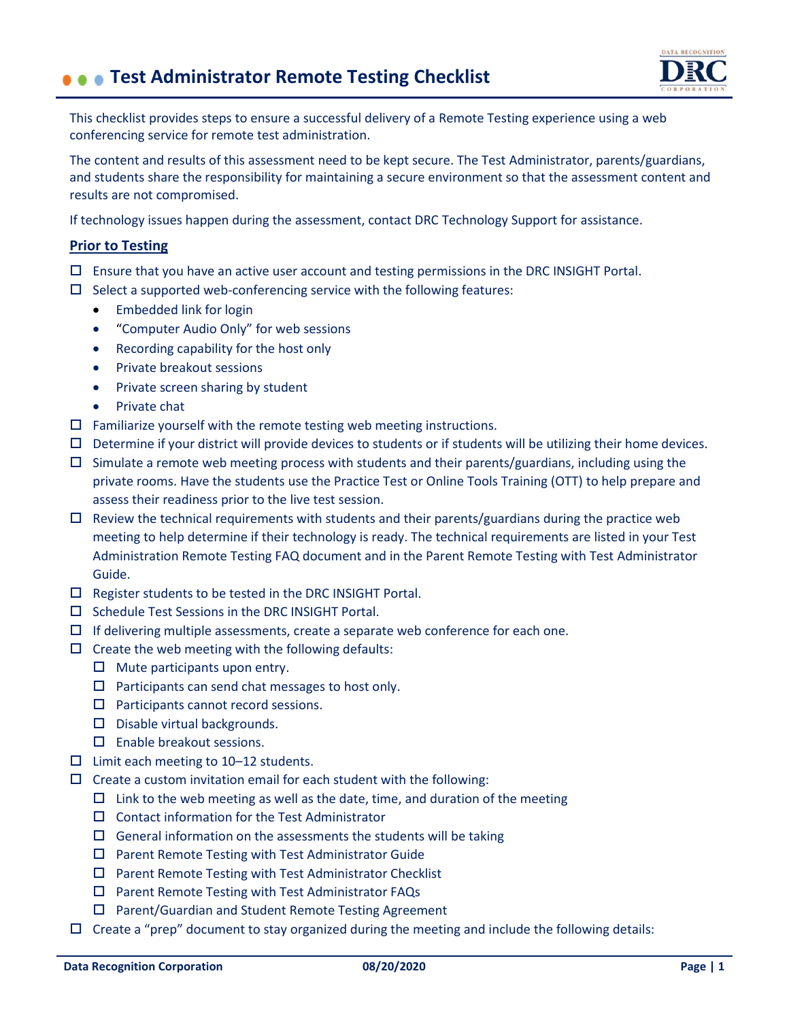## **Test Administrator Remote Testing Checklist**



This checklist provides steps to ensure a successful delivery of a Remote Testing experience using a web conferencing service for remote test administration.

The content and results of this assessment need to be kept secure. The Test Administrator, parents/guardians, and students share the responsibility for maintaining a secure environment so that the assessment content and results are not compromised.

If technology issues happen during the assessment, contact DRC Technology Support for assistance.

## **Prior to Testing**

- $\Box$  Ensure that you have an active user account and testing permissions in the DRC INSIGHT Portal.
- $\square$  Select a supported web-conferencing service with the following features:
	- Embedded link for login
	- "Computer Audio Only" for web sessions
	- Recording capability for the host only
	- Private breakout sessions
	- Private screen sharing by student
	- Private chat
- $\square$  Familiarize yourself with the remote testing web meeting instructions.
- $\square$  Determine if your district will provide devices to students or if students will be utilizing their home devices.
- $\Box$  Simulate a remote web meeting process with students and their parents/guardians, including using the private rooms. Have the students use the Practice Test or Online Tools Training (OTT) to help prepare and assess their readiness prior to the live test session.
- $\Box$  Review the technical requirements with students and their parents/guardians during the practice web meeting to help determine if their technology is ready. The technical requirements are listed in your Test Administration Remote Testing FAQ document and in the Parent Remote Testing with Test Administrator Guide.
- $\square$  Register students to be tested in the DRC INSIGHT Portal.
- $\square$  Schedule Test Sessions in the DRC INSIGHT Portal.
- $\Box$  If delivering multiple assessments, create a separate web conference for each one.
- $\square$  Create the web meeting with the following defaults:
	- $\Box$  Mute participants upon entry.
	- $\square$  Participants can send chat messages to host only.
	- $\square$  Participants cannot record sessions.
	- $\square$  Disable virtual backgrounds.
	- Enable breakout sessions.
- $\Box$  Limit each meeting to 10–12 students.
- $\square$  Create a custom invitation email for each student with the following:
	- $\square$  Link to the web meeting as well as the date, time, and duration of the meeting
	- $\square$  Contact information for the Test Administrator
	- $\square$  General information on the assessments the students will be taking
	- $\square$  Parent Remote Testing with Test Administrator Guide
	- $\square$  Parent Remote Testing with Test Administrator Checklist
	- Parent Remote Testing with Test Administrator FAQs
	- □ Parent/Guardian and Student Remote Testing Agreement
- $\Box$  Create a "prep" document to stay organized during the meeting and include the following details: